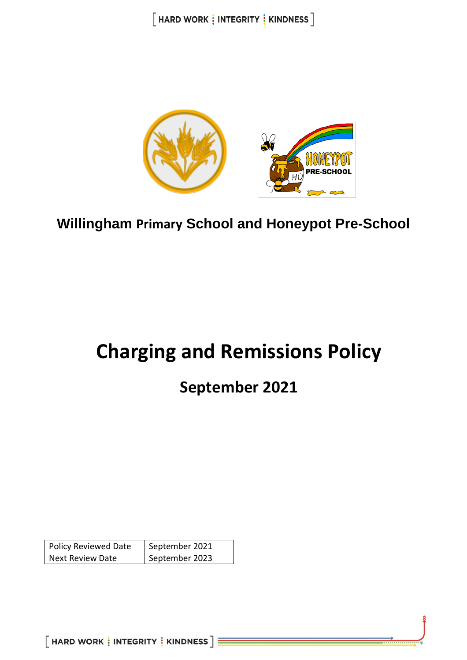$[$  HARD WORK  $\frac{1}{3}$  INTEGRITY  $\frac{1}{3}$  KINDNESS  $]$ 



**Willingham Primary School and Honeypot Pre-School**

# **Charging and Remissions Policy**

## **September 2021**

| <b>Policy Reviewed Date</b> | September 2021 |
|-----------------------------|----------------|
| <b>Next Review Date</b>     | September 2023 |

 $[$  HARD WORK  $\frac{1}{3}$  INTEGRITY  $\frac{1}{3}$  KINDNESS  $] \equiv$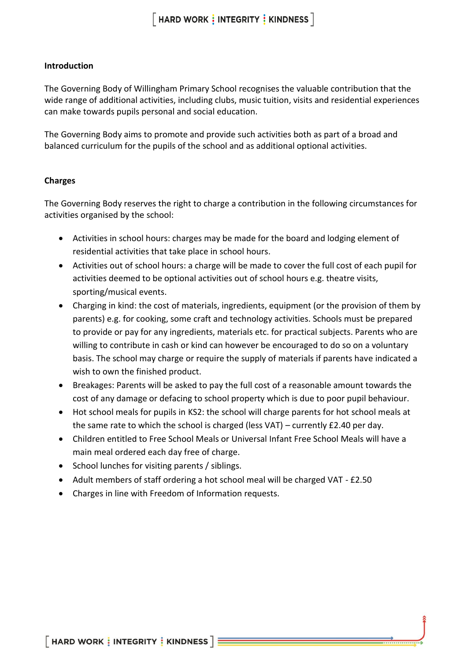#### **Introduction**

The Governing Body of Willingham Primary School recognises the valuable contribution that the wide range of additional activities, including clubs, music tuition, visits and residential experiences can make towards pupils personal and social education.

The Governing Body aims to promote and provide such activities both as part of a broad and balanced curriculum for the pupils of the school and as additional optional activities.

#### **Charges**

The Governing Body reserves the right to charge a contribution in the following circumstances for activities organised by the school:

- Activities in school hours: charges may be made for the board and lodging element of residential activities that take place in school hours.
- Activities out of school hours: a charge will be made to cover the full cost of each pupil for activities deemed to be optional activities out of school hours e.g. theatre visits, sporting/musical events.
- Charging in kind: the cost of materials, ingredients, equipment (or the provision of them by parents) e.g. for cooking, some craft and technology activities. Schools must be prepared to provide or pay for any ingredients, materials etc. for practical subjects. Parents who are willing to contribute in cash or kind can however be encouraged to do so on a voluntary basis. The school may charge or require the supply of materials if parents have indicated a wish to own the finished product.
- Breakages: Parents will be asked to pay the full cost of a reasonable amount towards the cost of any damage or defacing to school property which is due to poor pupil behaviour.
- Hot school meals for pupils in KS2: the school will charge parents for hot school meals at the same rate to which the school is charged (less VAT) – currently £2.40 per day.
- Children entitled to Free School Meals or Universal Infant Free School Meals will have a main meal ordered each day free of charge.
- School lunches for visiting parents / siblings.
- Adult members of staff ordering a hot school meal will be charged VAT £2.50
- Charges in line with Freedom of Information requests.